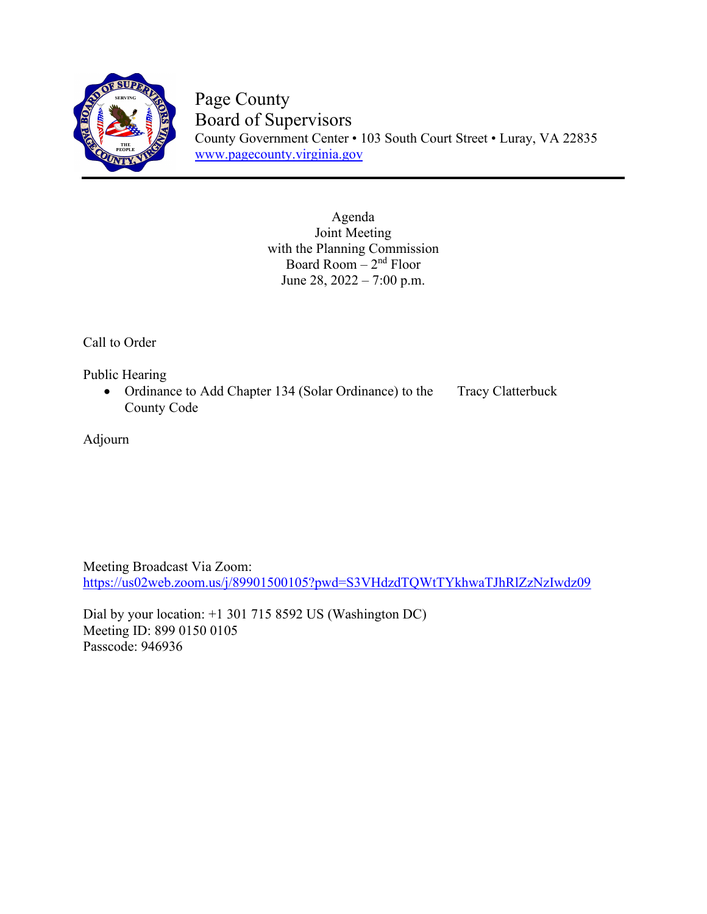

Page County Board of Supervisors County Government Center • 103 South Court Street • Luray, VA 22835 [www.pagecounty.virginia.gov](http://www.pagecounty.virginia.gov/)

> Agenda Joint Meeting with the Planning Commission Board Room  $-2<sup>nd</sup>$  Floor June 28, 2022 – 7:00 p.m.

Call to Order

Public Hearing

• Ordinance to Add Chapter 134 (Solar Ordinance) to the Tracy Clatterbuck County Code

Adjourn

Meeting Broadcast Via Zoom: https://us02web.zoom.us/j/89901500105?pwd=S3VHdzdTQWtTYkhwaTJhRlZzNzIwdz09

Dial by your location: +1 301 715 8592 US (Washington DC) Meeting ID: 899 0150 0105 Passcode: 946936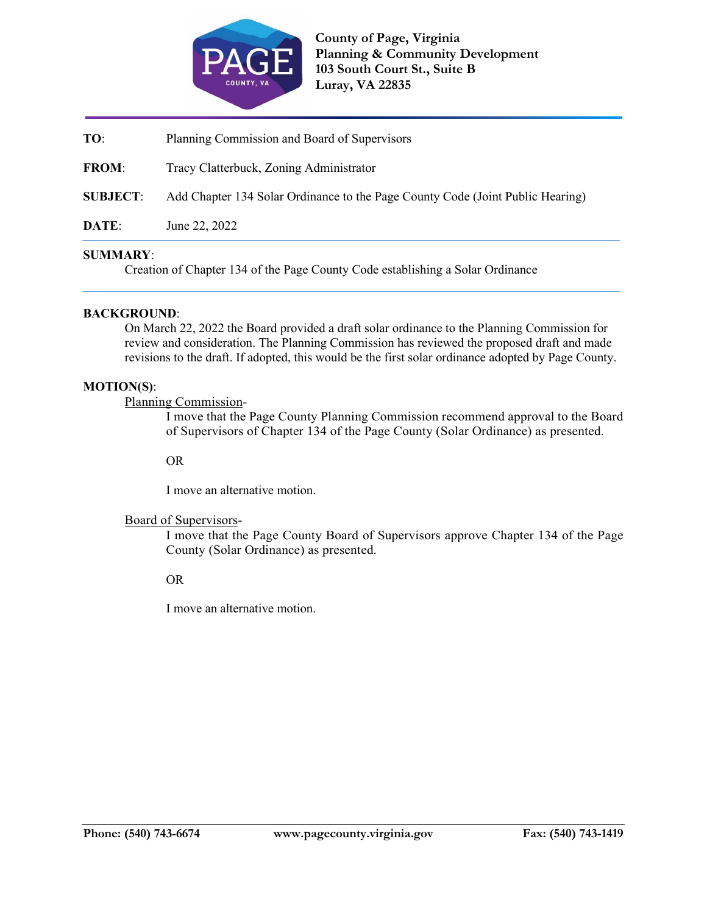

**TO**: Planning Commission and Board of Supervisors

**FROM**: Tracy Clatterbuck, Zoning Administrator

**SUBJECT**: Add Chapter 134 Solar Ordinance to the Page County Code (Joint Public Hearing)

**DATE**: June 22, 2022

### **SUMMARY**:

Creation of Chapter 134 of the Page County Code establishing a Solar Ordinance

### **BACKGROUND**:

On March 22, 2022 the Board provided a draft solar ordinance to the Planning Commission for review and consideration. The Planning Commission has reviewed the proposed draft and made revisions to the draft. If adopted, this would be the first solar ordinance adopted by Page County.

### **MOTION(S)**:

Planning Commission-

I move that the Page County Planning Commission recommend approval to the Board of Supervisors of Chapter 134 of the Page County (Solar Ordinance) as presented.

OR

I move an alternative motion.

## Board of Supervisors-

I move that the Page County Board of Supervisors approve Chapter 134 of the Page County (Solar Ordinance) as presented.

## OR

I move an alternative motion.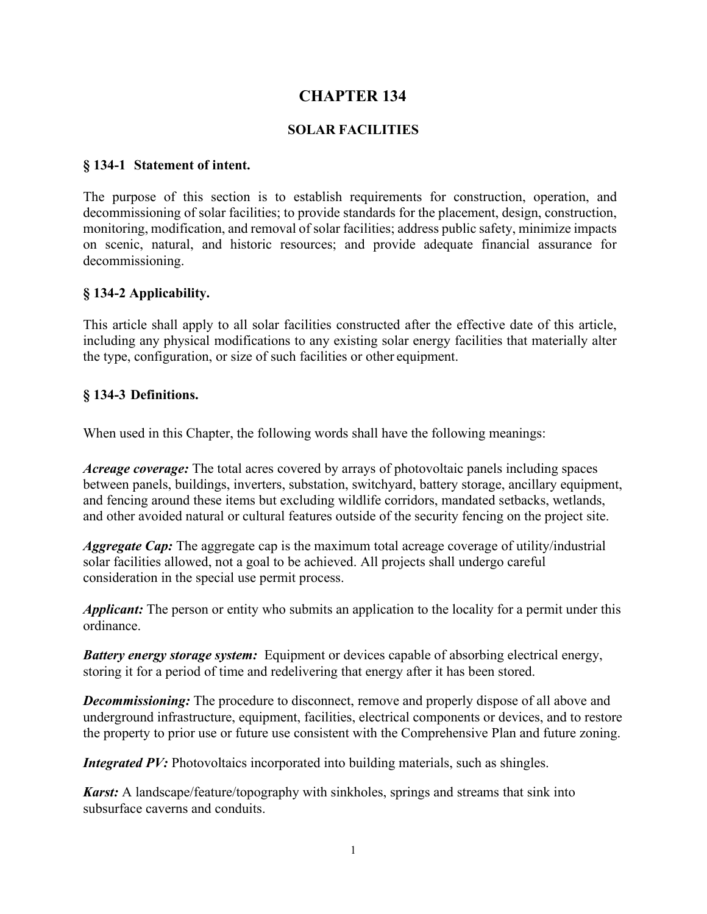# **CHAPTER 134**

# **SOLAR FACILITIES**

## **§ 134-1 Statement of intent.**

The purpose of this section is to establish requirements for construction, operation, and decommissioning of solar facilities; to provide standards for the placement, design, construction, monitoring, modification, and removal of solar facilities; address public safety, minimize impacts on scenic, natural, and historic resources; and provide adequate financial assurance for decommissioning.

# **§ 134-2 Applicability.**

This article shall apply to all solar facilities constructed after the effective date of this article, including any physical modifications to any existing solar energy facilities that materially alter the type, configuration, or size of such facilities or other equipment.

## **§ 134-3 Definitions.**

When used in this Chapter, the following words shall have the following meanings:

*Acreage coverage:* The total acres covered by arrays of photovoltaic panels including spaces between panels, buildings, inverters, substation, switchyard, battery storage, ancillary equipment, and fencing around these items but excluding wildlife corridors, mandated setbacks, wetlands, and other avoided natural or cultural features outside of the security fencing on the project site.

*Aggregate Cap:* The aggregate cap is the maximum total acreage coverage of utility/industrial solar facilities allowed, not a goal to be achieved. All projects shall undergo careful consideration in the special use permit process.

*Applicant:* The person or entity who submits an application to the locality for a permit under this ordinance.

*Battery energy storage system:* Equipment or devices capable of absorbing electrical energy, storing it for a period of time and redelivering that energy after it has been stored.

*Decommissioning:* The procedure to disconnect, remove and properly dispose of all above and underground infrastructure, equipment, facilities, electrical components or devices, and to restore the property to prior use or future use consistent with the Comprehensive Plan and future zoning.

*Integrated PV:* Photovoltaics incorporated into building materials, such as shingles.

*Karst:* A landscape/feature/topography with sinkholes, springs and streams that sink into subsurface caverns and conduits.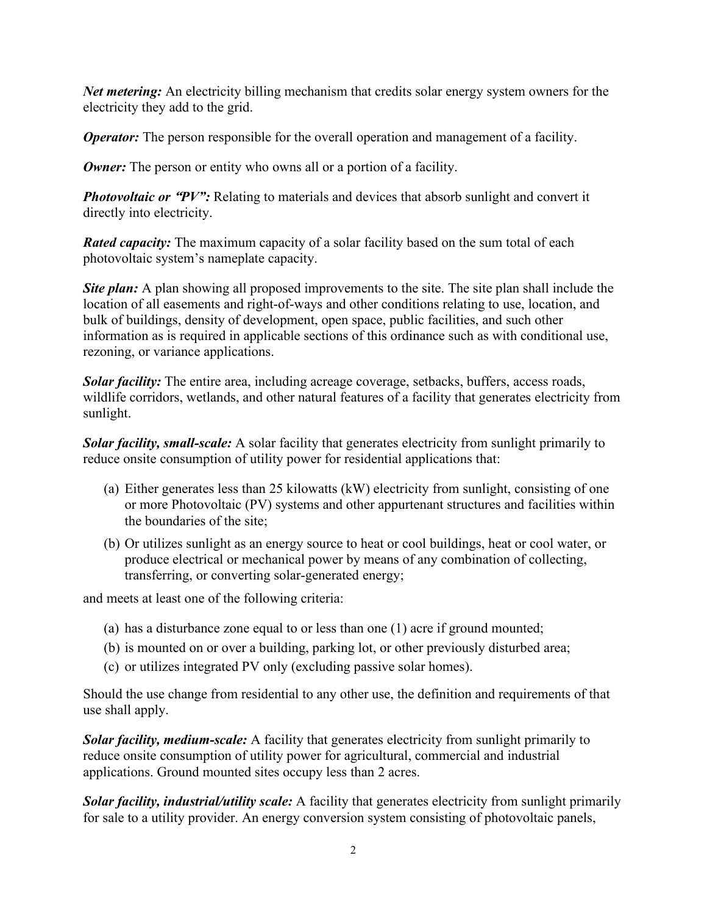*Net metering:* An electricity billing mechanism that credits solar energy system owners for the electricity they add to the grid.

*Operator:* The person responsible for the overall operation and management of a facility.

*Owner:* The person or entity who owns all or a portion of a facility.

*Photovoltaic or "PV":* Relating to materials and devices that absorb sunlight and convert it directly into electricity.

*Rated capacity:* The maximum capacity of a solar facility based on the sum total of each photovoltaic system's nameplate capacity.

**Site plan:** A plan showing all proposed improvements to the site. The site plan shall include the location of all easements and right-of-ways and other conditions relating to use, location, and bulk of buildings, density of development, open space, public facilities, and such other information as is required in applicable sections of this ordinance such as with conditional use, rezoning, or variance applications.

*Solar facility:* The entire area, including acreage coverage, setbacks, buffers, access roads, wildlife corridors, wetlands, and other natural features of a facility that generates electricity from sunlight.

*Solar facility, small-scale:* A solar facility that generates electricity from sunlight primarily to reduce onsite consumption of utility power for residential applications that:

- (a) Either generates less than 25 kilowatts (kW) electricity from sunlight, consisting of one or more Photovoltaic (PV) systems and other appurtenant structures and facilities within the boundaries of the site;
- (b) Or utilizes sunlight as an energy source to heat or cool buildings, heat or cool water, or produce electrical or mechanical power by means of any combination of collecting, transferring, or converting solar-generated energy;

and meets at least one of the following criteria:

- (a) has a disturbance zone equal to or less than one (1) acre if ground mounted;
- (b) is mounted on or over a building, parking lot, or other previously disturbed area;
- (c) or utilizes integrated PV only (excluding passive solar homes).

Should the use change from residential to any other use, the definition and requirements of that use shall apply.

*Solar facility, medium-scale:* A facility that generates electricity from sunlight primarily to reduce onsite consumption of utility power for agricultural, commercial and industrial applications. Ground mounted sites occupy less than 2 acres.

*Solar facility, industrial/utility scale:* A facility that generates electricity from sunlight primarily for sale to a utility provider. An energy conversion system consisting of photovoltaic panels,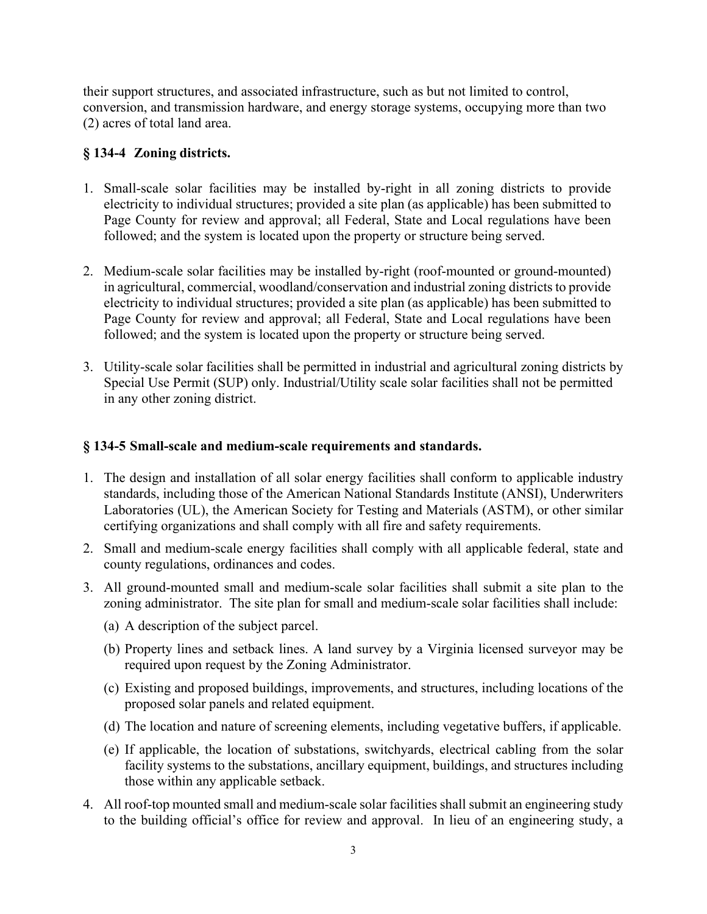their support structures, and associated infrastructure, such as but not limited to control, conversion, and transmission hardware, and energy storage systems, occupying more than two (2) acres of total land area.

# **§ 134-4 Zoning districts.**

- 1. Small-scale solar facilities may be installed by-right in all zoning districts to provide electricity to individual structures; provided a site plan (as applicable) has been submitted to Page County for review and approval; all Federal, State and Local regulations have been followed; and the system is located upon the property or structure being served.
- 2. Medium-scale solar facilities may be installed by-right (roof-mounted or ground-mounted) in agricultural, commercial, woodland/conservation and industrial zoning districts to provide electricity to individual structures; provided a site plan (as applicable) has been submitted to Page County for review and approval; all Federal, State and Local regulations have been followed; and the system is located upon the property or structure being served.
- 3. Utility-scale solar facilities shall be permitted in industrial and agricultural zoning districts by Special Use Permit (SUP) only. Industrial/Utility scale solar facilities shall not be permitted in any other zoning district.

# **§ 134-5 Small-scale and medium-scale requirements and standards.**

- 1. The design and installation of all solar energy facilities shall conform to applicable industry standards, including those of the American National Standards Institute (ANSI), Underwriters Laboratories (UL), the American Society for Testing and Materials (ASTM), or other similar certifying organizations and shall comply with all fire and safety requirements.
- 2. Small and medium-scale energy facilities shall comply with all applicable federal, state and county regulations, ordinances and codes.
- 3. All ground-mounted small and medium-scale solar facilities shall submit a site plan to the zoning administrator. The site plan for small and medium-scale solar facilities shall include:
	- (a) A description of the subject parcel.
	- (b) Property lines and setback lines. A land survey by a Virginia licensed surveyor may be required upon request by the Zoning Administrator.
	- (c) Existing and proposed buildings, improvements, and structures, including locations of the proposed solar panels and related equipment.
	- (d) The location and nature of screening elements, including vegetative buffers, if applicable.
	- (e) If applicable, the location of substations, switchyards, electrical cabling from the solar facility systems to the substations, ancillary equipment, buildings, and structures including those within any applicable setback.
- 4. All roof-top mounted small and medium-scale solar facilities shall submit an engineering study to the building official's office for review and approval. In lieu of an engineering study, a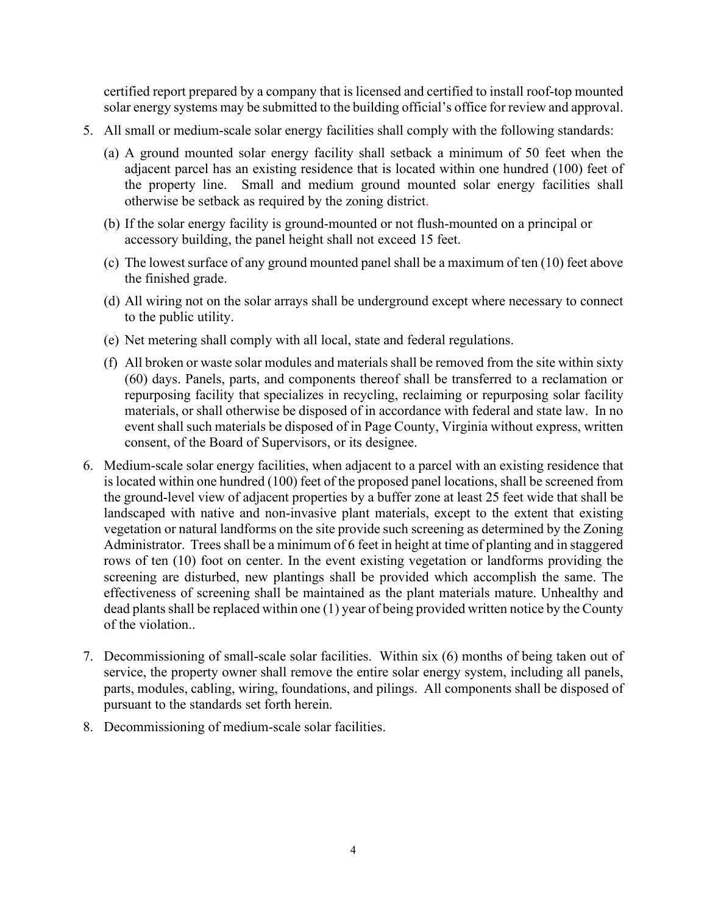certified report prepared by a company that is licensed and certified to install roof-top mounted solar energy systems may be submitted to the building official's office for review and approval.

- 5. All small or medium-scale solar energy facilities shall comply with the following standards:
	- (a) A ground mounted solar energy facility shall setback a minimum of 50 feet when the adjacent parcel has an existing residence that is located within one hundred (100) feet of the property line. Small and medium ground mounted solar energy facilities shall otherwise be setback as required by the zoning district.
	- (b) If the solar energy facility is ground-mounted or not flush-mounted on a principal or accessory building, the panel height shall not exceed 15 feet.
	- (c) The lowest surface of any ground mounted panel shall be a maximum of ten (10) feet above the finished grade.
	- (d) All wiring not on the solar arrays shall be underground except where necessary to connect to the public utility.
	- (e) Net metering shall comply with all local, state and federal regulations.
	- (f) All broken or waste solar modules and materials shall be removed from the site within sixty (60) days. Panels, parts, and components thereof shall be transferred to a reclamation or repurposing facility that specializes in recycling, reclaiming or repurposing solar facility materials, or shall otherwise be disposed of in accordance with federal and state law. In no event shall such materials be disposed of in Page County, Virginia without express, written consent, of the Board of Supervisors, or its designee.
- 6. Medium-scale solar energy facilities, when adjacent to a parcel with an existing residence that is located within one hundred (100) feet of the proposed panel locations, shall be screened from the ground-level view of adjacent properties by a buffer zone at least 25 feet wide that shall be landscaped with native and non-invasive plant materials, except to the extent that existing vegetation or natural landforms on the site provide such screening as determined by the Zoning Administrator. Trees shall be a minimum of 6 feet in height at time of planting and in staggered rows of ten (10) foot on center. In the event existing vegetation or landforms providing the screening are disturbed, new plantings shall be provided which accomplish the same. The effectiveness of screening shall be maintained as the plant materials mature. Unhealthy and dead plants shall be replaced within one (1) year of being provided written notice by the County of the violation..
- 7. Decommissioning of small-scale solar facilities. Within six (6) months of being taken out of service, the property owner shall remove the entire solar energy system, including all panels, parts, modules, cabling, wiring, foundations, and pilings. All components shall be disposed of pursuant to the standards set forth herein.
- 8. Decommissioning of medium-scale solar facilities.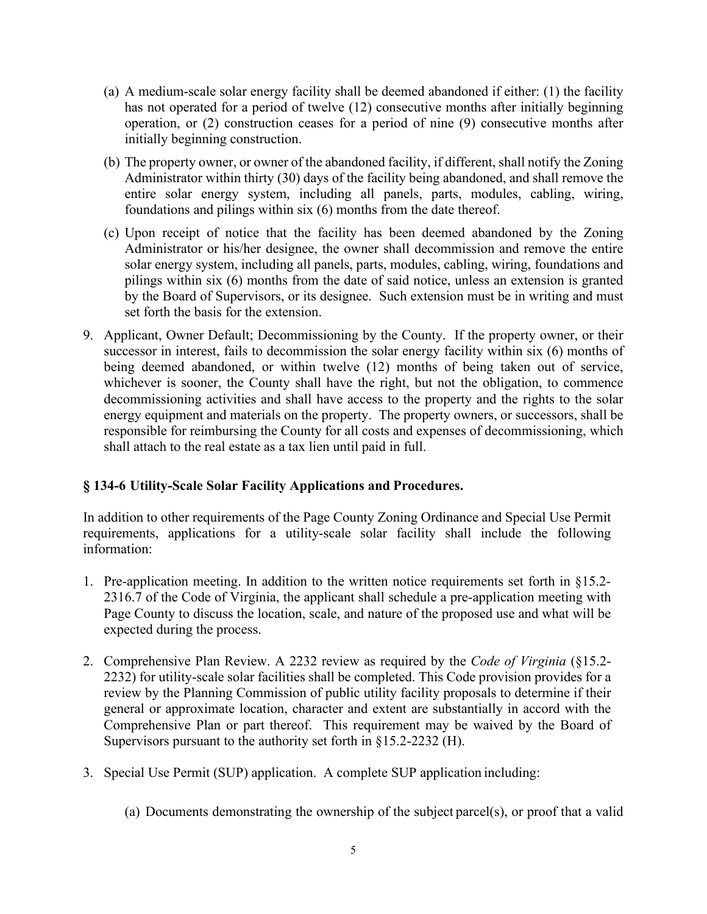- (a) A medium-scale solar energy facility shall be deemed abandoned if either: (1) the facility has not operated for a period of twelve (12) consecutive months after initially beginning operation, or (2) construction ceases for a period of nine (9) consecutive months after initially beginning construction.
- (b) The property owner, or owner of the abandoned facility, if different, shall notify the Zoning Administrator within thirty (30) days of the facility being abandoned, and shall remove the entire solar energy system, including all panels, parts, modules, cabling, wiring, foundations and pilings within six (6) months from the date thereof.
- (c) Upon receipt of notice that the facility has been deemed abandoned by the Zoning Administrator or his/her designee, the owner shall decommission and remove the entire solar energy system, including all panels, parts, modules, cabling, wiring, foundations and pilings within six (6) months from the date of said notice, unless an extension is granted by the Board of Supervisors, or its designee. Such extension must be in writing and must set forth the basis for the extension.
- 9. Applicant, Owner Default; Decommissioning by the County. If the property owner, or their successor in interest, fails to decommission the solar energy facility within six (6) months of being deemed abandoned, or within twelve (12) months of being taken out of service, whichever is sooner, the County shall have the right, but not the obligation, to commence decommissioning activities and shall have access to the property and the rights to the solar energy equipment and materials on the property. The property owners, or successors, shall be responsible for reimbursing the County for all costs and expenses of decommissioning, which shall attach to the real estate as a tax lien until paid in full.

# **§ 134-6 Utility-Scale Solar Facility Applications and Procedures.**

In addition to other requirements of the Page County Zoning Ordinance and Special Use Permit requirements, applications for a utility-scale solar facility shall include the following information:

- 1. Pre-application meeting. In addition to the written notice requirements set forth in §15.2- 2316.7 of the Code of Virginia, the applicant shall schedule a pre-application meeting with Page County to discuss the location, scale, and nature of the proposed use and what will be expected during the process.
- 2. Comprehensive Plan Review. A 2232 review as required by the *Code of Virginia* (§15.2- 2232) for utility-scale solar facilities shall be completed. This Code provision provides for a review by the Planning Commission of public utility facility proposals to determine if their general or approximate location, character and extent are substantially in accord with the Comprehensive Plan or part thereof. This requirement may be waived by the Board of Supervisors pursuant to the authority set forth in §15.2-2232 (H).
- 3. Special Use Permit (SUP) application. A complete SUP application including:
	- (a) Documents demonstrating the ownership of the subject parcel(s), or proof that a valid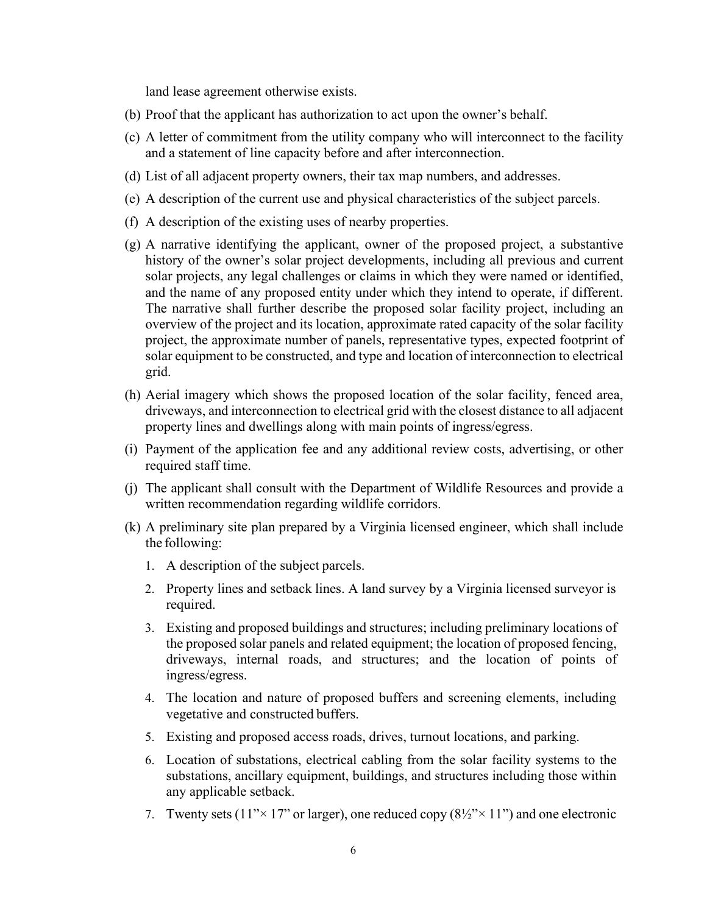land lease agreement otherwise exists.

- (b) Proof that the applicant has authorization to act upon the owner's behalf.
- (c) A letter of commitment from the utility company who will interconnect to the facility and a statement of line capacity before and after interconnection.
- (d) List of all adjacent property owners, their tax map numbers, and addresses.
- (e) A description of the current use and physical characteristics of the subject parcels.
- (f) A description of the existing uses of nearby properties.
- (g) A narrative identifying the applicant, owner of the proposed project, a substantive history of the owner's solar project developments, including all previous and current solar projects, any legal challenges or claims in which they were named or identified, and the name of any proposed entity under which they intend to operate, if different. The narrative shall further describe the proposed solar facility project, including an overview of the project and its location, approximate rated capacity of the solar facility project, the approximate number of panels, representative types, expected footprint of solar equipment to be constructed, and type and location of interconnection to electrical grid.
- (h) Aerial imagery which shows the proposed location of the solar facility, fenced area, driveways, and interconnection to electrical grid with the closest distance to all adjacent property lines and dwellings along with main points of ingress/egress.
- (i) Payment of the application fee and any additional review costs, advertising, or other required staff time.
- (j) The applicant shall consult with the Department of Wildlife Resources and provide a written recommendation regarding wildlife corridors.
- (k) A preliminary site plan prepared by a Virginia licensed engineer, which shall include the following:
	- 1. A description of the subject parcels.
	- 2. Property lines and setback lines. A land survey by a Virginia licensed surveyor is required.
	- 3. Existing and proposed buildings and structures; including preliminary locations of the proposed solar panels and related equipment; the location of proposed fencing, driveways, internal roads, and structures; and the location of points of ingress/egress.
	- 4. The location and nature of proposed buffers and screening elements, including vegetative and constructed buffers.
	- 5. Existing and proposed access roads, drives, turnout locations, and parking.
	- 6. Location of substations, electrical cabling from the solar facility systems to the substations, ancillary equipment, buildings, and structures including those within any applicable setback.
	- 7. Twenty sets  $(11^{\prime\prime} \times 17^{\prime\prime} \text{ or larger})$ , one reduced copy  $(8\frac{1}{2}^{\prime\prime} \times 11^{\prime\prime})$  and one electronic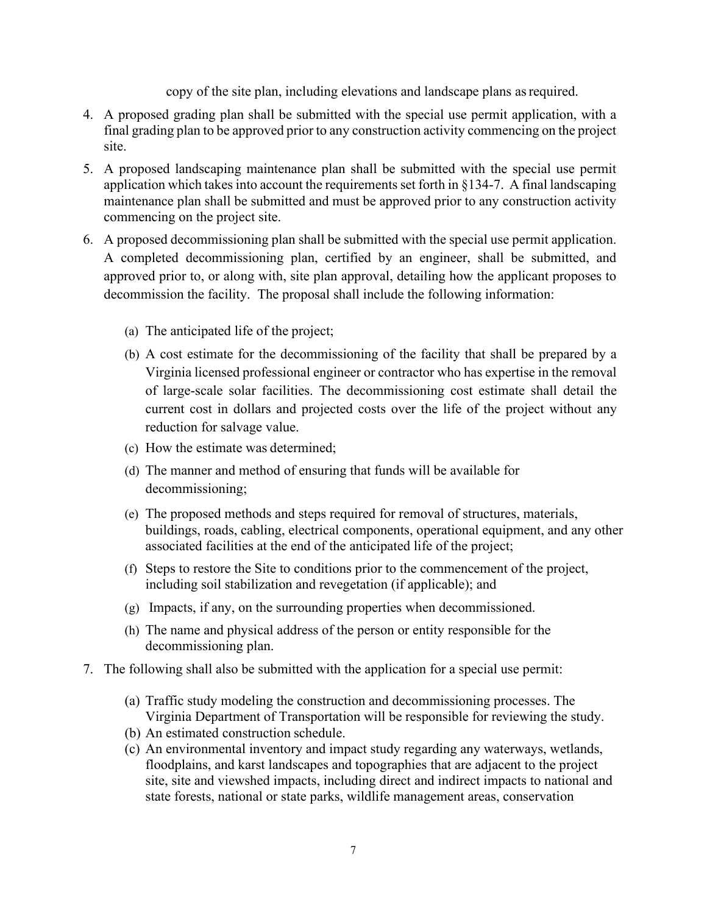copy of the site plan, including elevations and landscape plans asrequired.

- 4. A proposed grading plan shall be submitted with the special use permit application, with a final grading plan to be approved prior to any construction activity commencing on the project site.
- 5. A proposed landscaping maintenance plan shall be submitted with the special use permit application which takes into account the requirements set forth in §134-7. A final landscaping maintenance plan shall be submitted and must be approved prior to any construction activity commencing on the project site.
- 6. A proposed decommissioning plan shall be submitted with the special use permit application. A completed decommissioning plan, certified by an engineer, shall be submitted, and approved prior to, or along with, site plan approval, detailing how the applicant proposes to decommission the facility. The proposal shall include the following information:
	- (a) The anticipated life of the project;
	- (b) A cost estimate for the decommissioning of the facility that shall be prepared by a Virginia licensed professional engineer or contractor who has expertise in the removal of large-scale solar facilities. The decommissioning cost estimate shall detail the current cost in dollars and projected costs over the life of the project without any reduction for salvage value.
	- (c) How the estimate was determined;
	- (d) The manner and method of ensuring that funds will be available for decommissioning;
	- (e) The proposed methods and steps required for removal of structures, materials, buildings, roads, cabling, electrical components, operational equipment, and any other associated facilities at the end of the anticipated life of the project;
	- (f) Steps to restore the Site to conditions prior to the commencement of the project, including soil stabilization and revegetation (if applicable); and
	- (g) Impacts, if any, on the surrounding properties when decommissioned.
	- (h) The name and physical address of the person or entity responsible for the decommissioning plan.
- 7. The following shall also be submitted with the application for a special use permit:
	- (a) Traffic study modeling the construction and decommissioning processes. The Virginia Department of Transportation will be responsible for reviewing the study.
	- (b) An estimated construction schedule.
	- (c) An environmental inventory and impact study regarding any waterways, wetlands, floodplains, and karst landscapes and topographies that are adjacent to the project site, site and viewshed impacts, including direct and indirect impacts to national and state forests, national or state parks, wildlife management areas, conservation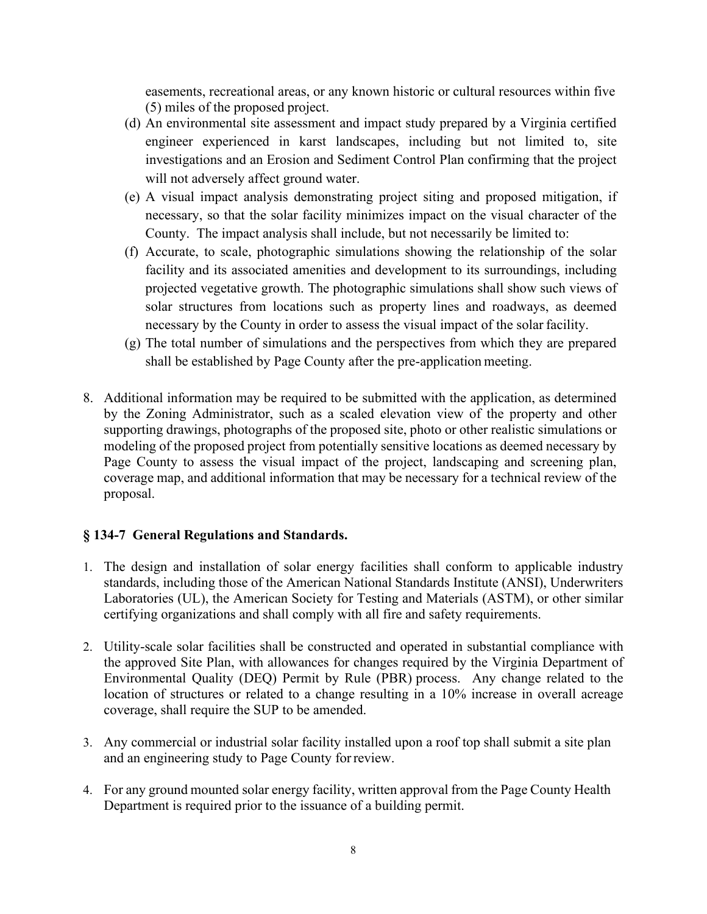easements, recreational areas, or any known historic or cultural resources within five (5) miles of the proposed project.

- (d) An environmental site assessment and impact study prepared by a Virginia certified engineer experienced in karst landscapes, including but not limited to, site investigations and an Erosion and Sediment Control Plan confirming that the project will not adversely affect ground water.
- (e) A visual impact analysis demonstrating project siting and proposed mitigation, if necessary, so that the solar facility minimizes impact on the visual character of the County. The impact analysis shall include, but not necessarily be limited to:
- (f) Accurate, to scale, photographic simulations showing the relationship of the solar facility and its associated amenities and development to its surroundings, including projected vegetative growth. The photographic simulations shall show such views of solar structures from locations such as property lines and roadways, as deemed necessary by the County in order to assess the visual impact of the solar facility.
- (g) The total number of simulations and the perspectives from which they are prepared shall be established by Page County after the pre-application meeting.
- 8. Additional information may be required to be submitted with the application, as determined by the Zoning Administrator, such as a scaled elevation view of the property and other supporting drawings, photographs of the proposed site, photo or other realistic simulations or modeling of the proposed project from potentially sensitive locations as deemed necessary by Page County to assess the visual impact of the project, landscaping and screening plan, coverage map, and additional information that may be necessary for a technical review of the proposal.

## **§ 134-7 General Regulations and Standards.**

- 1. The design and installation of solar energy facilities shall conform to applicable industry standards, including those of the American National Standards Institute (ANSI), Underwriters Laboratories (UL), the American Society for Testing and Materials (ASTM), or other similar certifying organizations and shall comply with all fire and safety requirements.
- 2. Utility-scale solar facilities shall be constructed and operated in substantial compliance with the approved Site Plan, with allowances for changes required by the Virginia Department of Environmental Quality (DEQ) Permit by Rule (PBR) process. Any change related to the location of structures or related to a change resulting in a 10% increase in overall acreage coverage, shall require the SUP to be amended.
- 3. Any commercial or industrial solar facility installed upon a roof top shall submit a site plan and an engineering study to Page County forreview.
- 4. For any ground mounted solar energy facility, written approval from the Page County Health Department is required prior to the issuance of a building permit.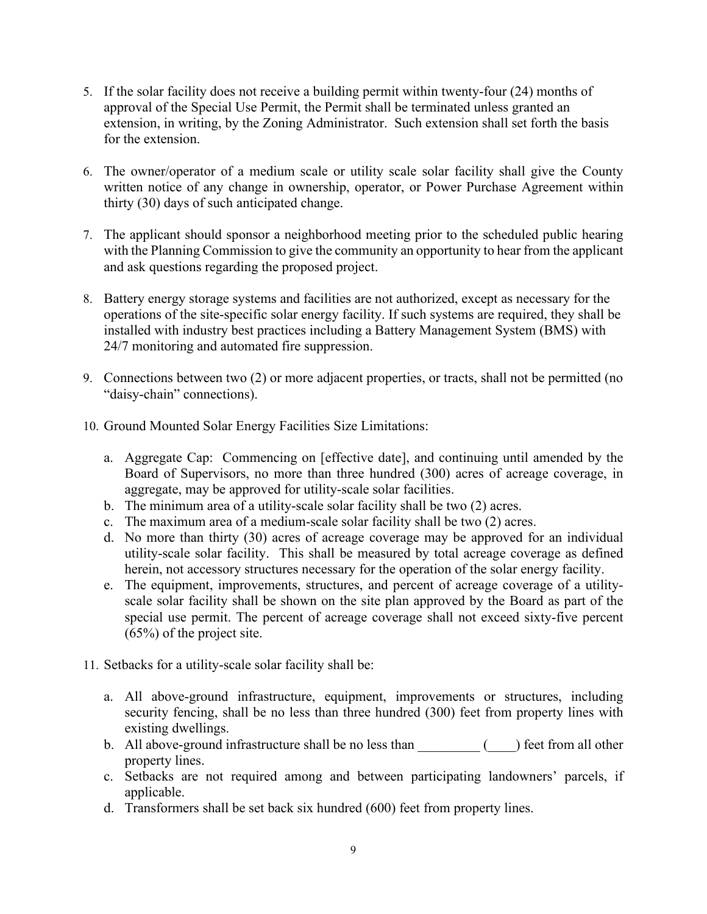- 5. If the solar facility does not receive a building permit within twenty-four (24) months of approval of the Special Use Permit, the Permit shall be terminated unless granted an extension, in writing, by the Zoning Administrator. Such extension shall set forth the basis for the extension.
- 6. The owner/operator of a medium scale or utility scale solar facility shall give the County written notice of any change in ownership, operator, or Power Purchase Agreement within thirty (30) days of such anticipated change.
- 7. The applicant should sponsor a neighborhood meeting prior to the scheduled public hearing with the Planning Commission to give the community an opportunity to hear from the applicant and ask questions regarding the proposed project.
- 8. Battery energy storage systems and facilities are not authorized, except as necessary for the operations of the site-specific solar energy facility. If such systems are required, they shall be installed with industry best practices including a Battery Management System (BMS) with 24/7 monitoring and automated fire suppression.
- 9. Connections between two (2) or more adjacent properties, or tracts, shall not be permitted (no "daisy-chain" connections).
- 10. Ground Mounted Solar Energy Facilities Size Limitations:
	- a. Aggregate Cap: Commencing on [effective date], and continuing until amended by the Board of Supervisors, no more than three hundred (300) acres of acreage coverage, in aggregate, may be approved for utility-scale solar facilities.
	- b. The minimum area of a utility-scale solar facility shall be two (2) acres.
	- c. The maximum area of a medium-scale solar facility shall be two (2) acres.
	- d. No more than thirty (30) acres of acreage coverage may be approved for an individual utility-scale solar facility. This shall be measured by total acreage coverage as defined herein, not accessory structures necessary for the operation of the solar energy facility.
	- e. The equipment, improvements, structures, and percent of acreage coverage of a utilityscale solar facility shall be shown on the site plan approved by the Board as part of the special use permit. The percent of acreage coverage shall not exceed sixty-five percent (65%) of the project site.
- 11. Setbacks for a utility-scale solar facility shall be:
	- a. All above-ground infrastructure, equipment, improvements or structures, including security fencing, shall be no less than three hundred (300) feet from property lines with existing dwellings.
	- b. All above-ground infrastructure shall be no less than  $($  ) feet from all other property lines.
	- c. Setbacks are not required among and between participating landowners' parcels, if applicable.
	- d. Transformers shall be set back six hundred (600) feet from property lines.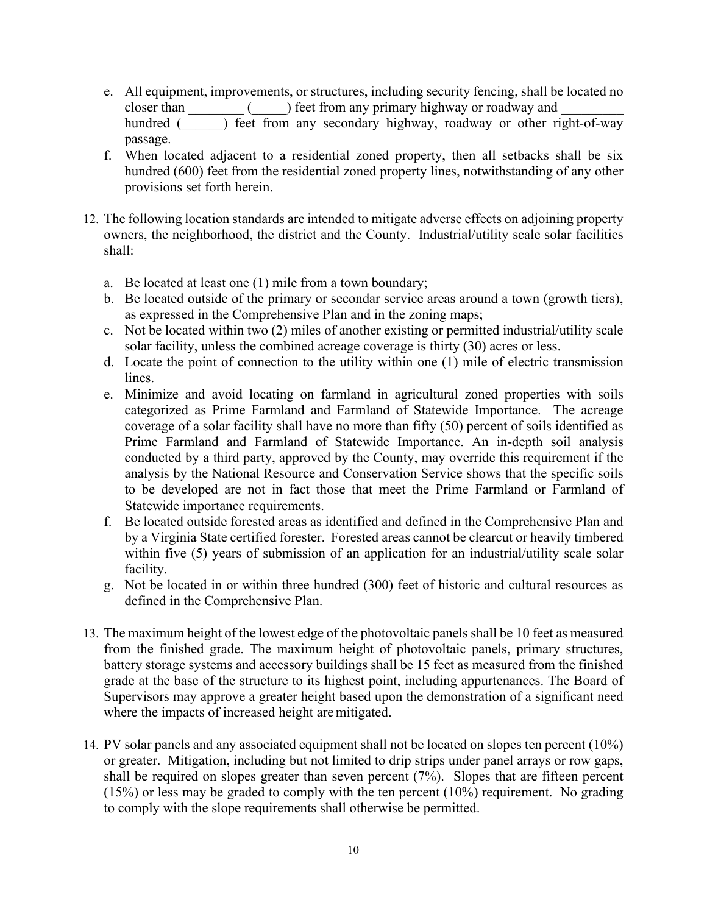e. All equipment, improvements, or structures, including security fencing, shall be located no closer than  $\left( \qquad \right)$  feet from any primary highway or roadway and

hundred () feet from any secondary highway, roadway or other right-of-way passage.

- f. When located adjacent to a residential zoned property, then all setbacks shall be six hundred (600) feet from the residential zoned property lines, notwithstanding of any other provisions set forth herein.
- 12. The following location standards are intended to mitigate adverse effects on adjoining property owners, the neighborhood, the district and the County. Industrial/utility scale solar facilities shall:
	- a. Be located at least one (1) mile from a town boundary;
	- b. Be located outside of the primary or secondar service areas around a town (growth tiers), as expressed in the Comprehensive Plan and in the zoning maps;
	- c. Not be located within two (2) miles of another existing or permitted industrial/utility scale solar facility, unless the combined acreage coverage is thirty (30) acres or less.
	- d. Locate the point of connection to the utility within one (1) mile of electric transmission lines.
	- e. Minimize and avoid locating on farmland in agricultural zoned properties with soils categorized as Prime Farmland and Farmland of Statewide Importance. The acreage coverage of a solar facility shall have no more than fifty (50) percent of soils identified as Prime Farmland and Farmland of Statewide Importance. An in-depth soil analysis conducted by a third party, approved by the County, may override this requirement if the analysis by the National Resource and Conservation Service shows that the specific soils to be developed are not in fact those that meet the Prime Farmland or Farmland of Statewide importance requirements.
	- f. Be located outside forested areas as identified and defined in the Comprehensive Plan and by a Virginia State certified forester. Forested areas cannot be clearcut or heavily timbered within five (5) years of submission of an application for an industrial/utility scale solar facility.
	- g. Not be located in or within three hundred (300) feet of historic and cultural resources as defined in the Comprehensive Plan.
- 13. The maximum height of the lowest edge of the photovoltaic panels shall be 10 feet as measured from the finished grade. The maximum height of photovoltaic panels, primary structures, battery storage systems and accessory buildings shall be 15 feet as measured from the finished grade at the base of the structure to its highest point, including appurtenances. The Board of Supervisors may approve a greater height based upon the demonstration of a significant need where the impacts of increased height aremitigated.
- 14. PV solar panels and any associated equipment shall not be located on slopes ten percent (10%) or greater. Mitigation, including but not limited to drip strips under panel arrays or row gaps, shall be required on slopes greater than seven percent (7%). Slopes that are fifteen percent  $(15%)$  or less may be graded to comply with the ten percent  $(10%)$  requirement. No grading to comply with the slope requirements shall otherwise be permitted.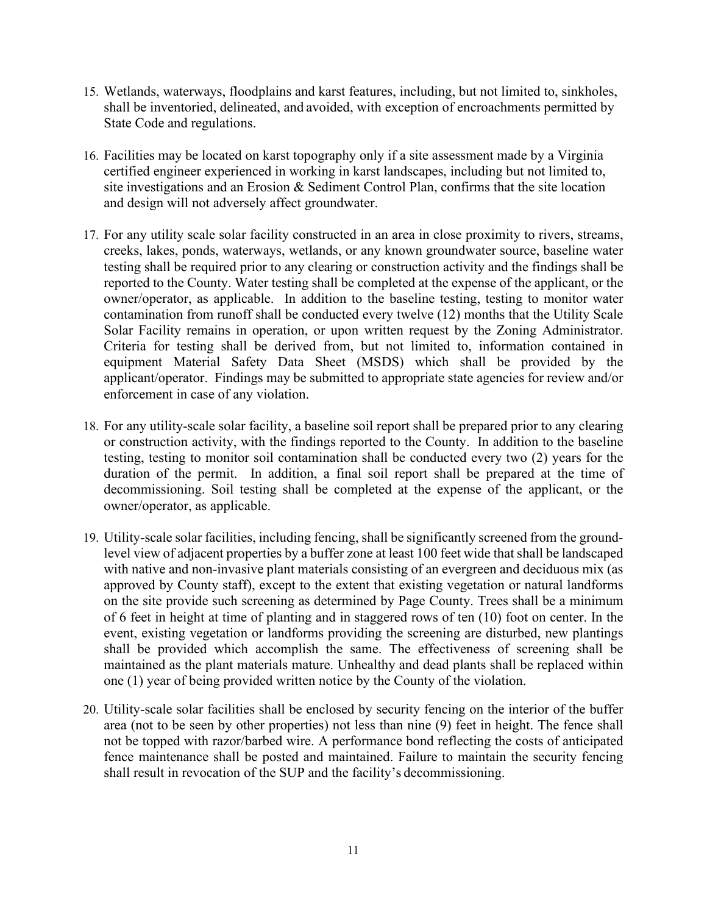- 15. Wetlands, waterways, floodplains and karst features, including, but not limited to, sinkholes, shall be inventoried, delineated, and avoided, with exception of encroachments permitted by State Code and regulations.
- 16. Facilities may be located on karst topography only if a site assessment made by a Virginia certified engineer experienced in working in karst landscapes, including but not limited to, site investigations and an Erosion & Sediment Control Plan, confirms that the site location and design will not adversely affect groundwater.
- 17. For any utility scale solar facility constructed in an area in close proximity to rivers, streams, creeks, lakes, ponds, waterways, wetlands, or any known groundwater source, baseline water testing shall be required prior to any clearing or construction activity and the findings shall be reported to the County. Water testing shall be completed at the expense of the applicant, or the owner/operator, as applicable. In addition to the baseline testing, testing to monitor water contamination from runoff shall be conducted every twelve (12) months that the Utility Scale Solar Facility remains in operation, or upon written request by the Zoning Administrator. Criteria for testing shall be derived from, but not limited to, information contained in equipment Material Safety Data Sheet (MSDS) which shall be provided by the applicant/operator. Findings may be submitted to appropriate state agencies for review and/or enforcement in case of any violation.
- 18. For any utility-scale solar facility, a baseline soil report shall be prepared prior to any clearing or construction activity, with the findings reported to the County. In addition to the baseline testing, testing to monitor soil contamination shall be conducted every two (2) years for the duration of the permit. In addition, a final soil report shall be prepared at the time of decommissioning. Soil testing shall be completed at the expense of the applicant, or the owner/operator, as applicable.
- 19. Utility-scale solar facilities, including fencing, shall be significantly screened from the groundlevel view of adjacent properties by a buffer zone at least 100 feet wide that shall be landscaped with native and non-invasive plant materials consisting of an evergreen and deciduous mix (as approved by County staff), except to the extent that existing vegetation or natural landforms on the site provide such screening as determined by Page County. Trees shall be a minimum of 6 feet in height at time of planting and in staggered rows of ten (10) foot on center. In the event, existing vegetation or landforms providing the screening are disturbed, new plantings shall be provided which accomplish the same. The effectiveness of screening shall be maintained as the plant materials mature. Unhealthy and dead plants shall be replaced within one (1) year of being provided written notice by the County of the violation.
- 20. Utility-scale solar facilities shall be enclosed by security fencing on the interior of the buffer area (not to be seen by other properties) not less than nine (9) feet in height. The fence shall not be topped with razor/barbed wire. A performance bond reflecting the costs of anticipated fence maintenance shall be posted and maintained. Failure to maintain the security fencing shall result in revocation of the SUP and the facility's decommissioning.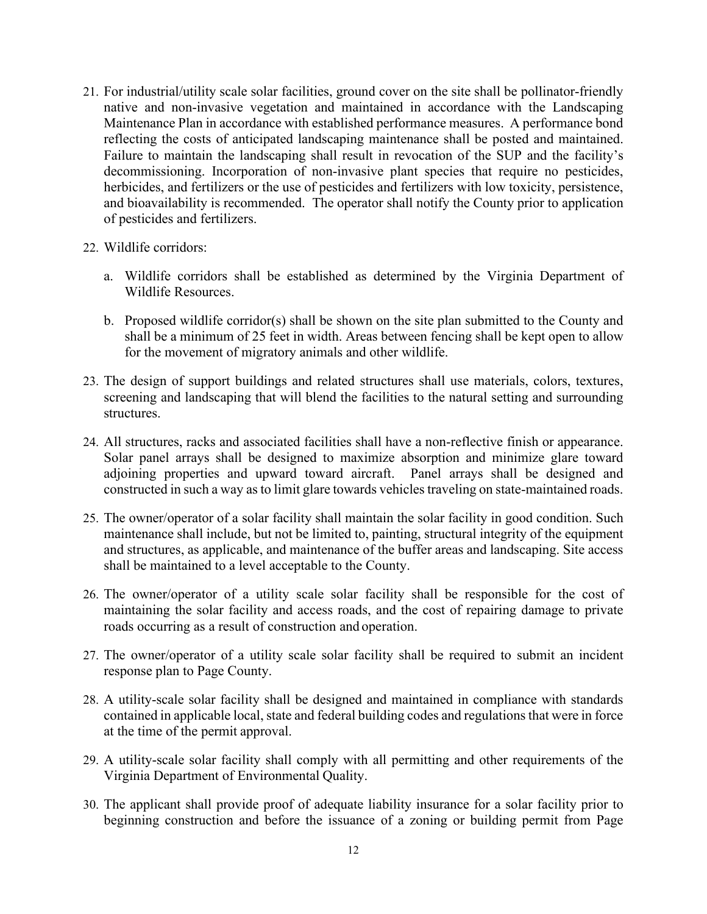- 21. For industrial/utility scale solar facilities, ground cover on the site shall be pollinator-friendly native and non-invasive vegetation and maintained in accordance with the Landscaping Maintenance Plan in accordance with established performance measures. A performance bond reflecting the costs of anticipated landscaping maintenance shall be posted and maintained. Failure to maintain the landscaping shall result in revocation of the SUP and the facility's decommissioning. Incorporation of non-invasive plant species that require no pesticides, herbicides, and fertilizers or the use of pesticides and fertilizers with low toxicity, persistence, and bioavailability is recommended. The operator shall notify the County prior to application of pesticides and fertilizers.
- 22. Wildlife corridors:
	- a. Wildlife corridors shall be established as determined by the Virginia Department of Wildlife Resources.
	- b. Proposed wildlife corridor(s) shall be shown on the site plan submitted to the County and shall be a minimum of 25 feet in width. Areas between fencing shall be kept open to allow for the movement of migratory animals and other wildlife.
- 23. The design of support buildings and related structures shall use materials, colors, textures, screening and landscaping that will blend the facilities to the natural setting and surrounding structures.
- 24. All structures, racks and associated facilities shall have a non-reflective finish or appearance. Solar panel arrays shall be designed to maximize absorption and minimize glare toward adjoining properties and upward toward aircraft. Panel arrays shall be designed and constructed in such a way as to limit glare towards vehicles traveling on state-maintained roads.
- 25. The owner/operator of a solar facility shall maintain the solar facility in good condition. Such maintenance shall include, but not be limited to, painting, structural integrity of the equipment and structures, as applicable, and maintenance of the buffer areas and landscaping. Site access shall be maintained to a level acceptable to the County.
- 26. The owner/operator of a utility scale solar facility shall be responsible for the cost of maintaining the solar facility and access roads, and the cost of repairing damage to private roads occurring as a result of construction and operation.
- 27. The owner/operator of a utility scale solar facility shall be required to submit an incident response plan to Page County.
- 28. A utility-scale solar facility shall be designed and maintained in compliance with standards contained in applicable local, state and federal building codes and regulations that were in force at the time of the permit approval.
- 29. A utility-scale solar facility shall comply with all permitting and other requirements of the Virginia Department of Environmental Quality.
- 30. The applicant shall provide proof of adequate liability insurance for a solar facility prior to beginning construction and before the issuance of a zoning or building permit from Page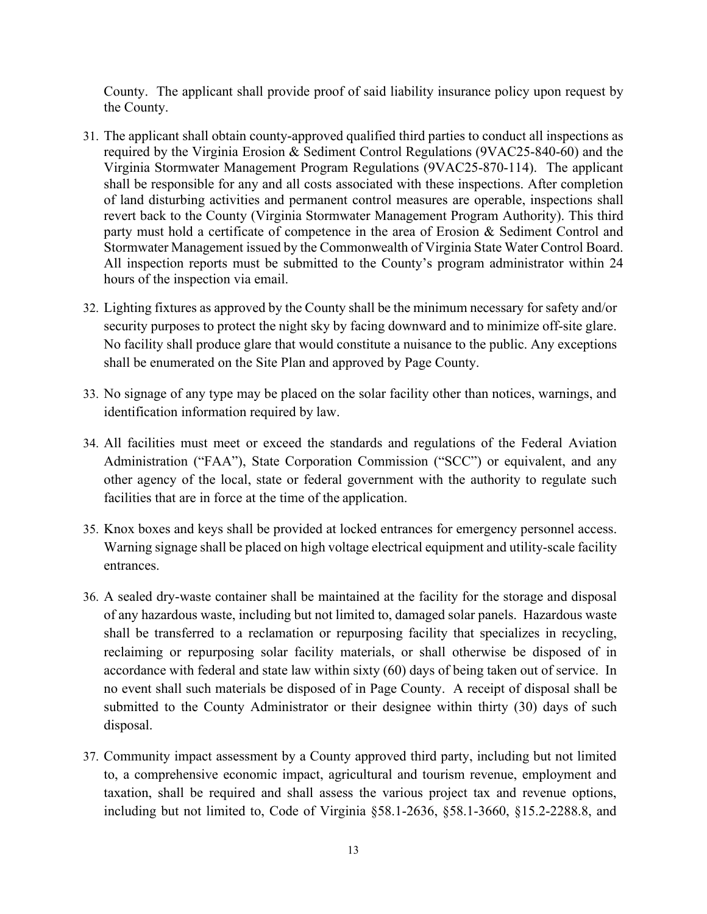County. The applicant shall provide proof of said liability insurance policy upon request by the County.

- 31. The applicant shall obtain county-approved qualified third parties to conduct all inspections as required by the Virginia Erosion & Sediment Control Regulations (9VAC25-840-60) and the Virginia Stormwater Management Program Regulations (9VAC25-870-114). The applicant shall be responsible for any and all costs associated with these inspections. After completion of land disturbing activities and permanent control measures are operable, inspections shall revert back to the County (Virginia Stormwater Management Program Authority). This third party must hold a certificate of competence in the area of Erosion & Sediment Control and Stormwater Management issued by the Commonwealth of Virginia State Water Control Board. All inspection reports must be submitted to the County's program administrator within 24 hours of the inspection via email.
- 32. Lighting fixtures as approved by the County shall be the minimum necessary for safety and/or security purposes to protect the night sky by facing downward and to minimize off-site glare. No facility shall produce glare that would constitute a nuisance to the public. Any exceptions shall be enumerated on the Site Plan and approved by Page County.
- 33. No signage of any type may be placed on the solar facility other than notices, warnings, and identification information required by law.
- 34. All facilities must meet or exceed the standards and regulations of the Federal Aviation Administration ("FAA"), State Corporation Commission ("SCC") or equivalent, and any other agency of the local, state or federal government with the authority to regulate such facilities that are in force at the time of the application.
- 35. Knox boxes and keys shall be provided at locked entrances for emergency personnel access. Warning signage shall be placed on high voltage electrical equipment and utility-scale facility entrances.
- 36. A sealed dry-waste container shall be maintained at the facility for the storage and disposal of any hazardous waste, including but not limited to, damaged solar panels. Hazardous waste shall be transferred to a reclamation or repurposing facility that specializes in recycling, reclaiming or repurposing solar facility materials, or shall otherwise be disposed of in accordance with federal and state law within sixty (60) days of being taken out of service. In no event shall such materials be disposed of in Page County. A receipt of disposal shall be submitted to the County Administrator or their designee within thirty (30) days of such disposal.
- 37. Community impact assessment by a County approved third party, including but not limited to, a comprehensive economic impact, agricultural and tourism revenue, employment and taxation, shall be required and shall assess the various project tax and revenue options, including but not limited to, Code of Virginia §58.1-2636, §58.1-3660, §15.2-2288.8, and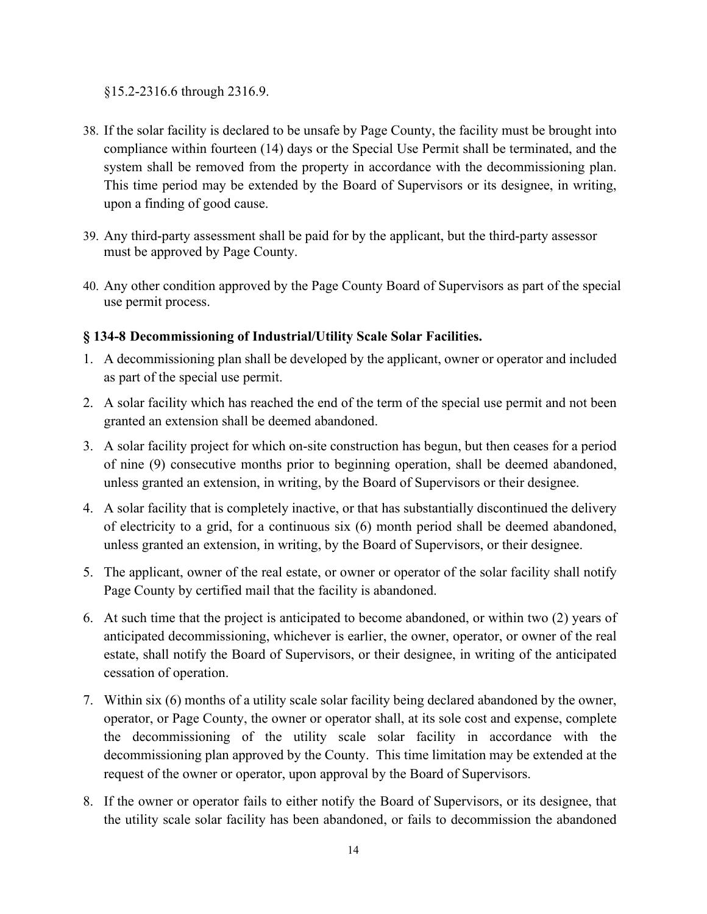§15.2-2316.6 through 2316.9.

- 38. If the solar facility is declared to be unsafe by Page County, the facility must be brought into compliance within fourteen (14) days or the Special Use Permit shall be terminated, and the system shall be removed from the property in accordance with the decommissioning plan. This time period may be extended by the Board of Supervisors or its designee, in writing, upon a finding of good cause.
- 39. Any third-party assessment shall be paid for by the applicant, but the third-party assessor must be approved by Page County.
- 40. Any other condition approved by the Page County Board of Supervisors as part of the special use permit process.

# **§ 134-8 Decommissioning of Industrial/Utility Scale Solar Facilities.**

- 1. A decommissioning plan shall be developed by the applicant, owner or operator and included as part of the special use permit.
- 2. A solar facility which has reached the end of the term of the special use permit and not been granted an extension shall be deemed abandoned.
- 3. A solar facility project for which on-site construction has begun, but then ceases for a period of nine (9) consecutive months prior to beginning operation, shall be deemed abandoned, unless granted an extension, in writing, by the Board of Supervisors or their designee.
- 4. A solar facility that is completely inactive, or that has substantially discontinued the delivery of electricity to a grid, for a continuous six (6) month period shall be deemed abandoned, unless granted an extension, in writing, by the Board of Supervisors, or their designee.
- 5. The applicant, owner of the real estate, or owner or operator of the solar facility shall notify Page County by certified mail that the facility is abandoned.
- 6. At such time that the project is anticipated to become abandoned, or within two (2) years of anticipated decommissioning, whichever is earlier, the owner, operator, or owner of the real estate, shall notify the Board of Supervisors, or their designee, in writing of the anticipated cessation of operation.
- 7. Within six (6) months of a utility scale solar facility being declared abandoned by the owner, operator, or Page County, the owner or operator shall, at its sole cost and expense, complete the decommissioning of the utility scale solar facility in accordance with the decommissioning plan approved by the County. This time limitation may be extended at the request of the owner or operator, upon approval by the Board of Supervisors.
- 8. If the owner or operator fails to either notify the Board of Supervisors, or its designee, that the utility scale solar facility has been abandoned, or fails to decommission the abandoned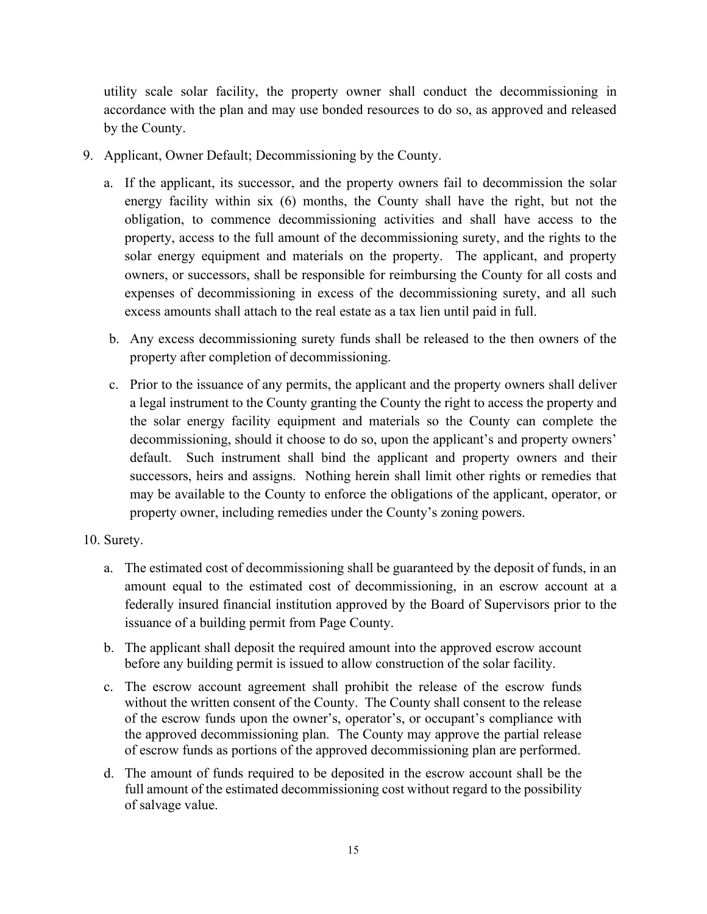utility scale solar facility, the property owner shall conduct the decommissioning in accordance with the plan and may use bonded resources to do so, as approved and released by the County.

- 9. Applicant, Owner Default; Decommissioning by the County.
	- a. If the applicant, its successor, and the property owners fail to decommission the solar energy facility within six (6) months, the County shall have the right, but not the obligation, to commence decommissioning activities and shall have access to the property, access to the full amount of the decommissioning surety, and the rights to the solar energy equipment and materials on the property. The applicant, and property owners, or successors, shall be responsible for reimbursing the County for all costs and expenses of decommissioning in excess of the decommissioning surety, and all such excess amounts shall attach to the real estate as a tax lien until paid in full.
	- b. Any excess decommissioning surety funds shall be released to the then owners of the property after completion of decommissioning.
	- c. Prior to the issuance of any permits, the applicant and the property owners shall deliver a legal instrument to the County granting the County the right to access the property and the solar energy facility equipment and materials so the County can complete the decommissioning, should it choose to do so, upon the applicant's and property owners' default. Such instrument shall bind the applicant and property owners and their successors, heirs and assigns. Nothing herein shall limit other rights or remedies that may be available to the County to enforce the obligations of the applicant, operator, or property owner, including remedies under the County's zoning powers.
- 10. Surety.
	- a. The estimated cost of decommissioning shall be guaranteed by the deposit of funds, in an amount equal to the estimated cost of decommissioning, in an escrow account at a federally insured financial institution approved by the Board of Supervisors prior to the issuance of a building permit from Page County.
	- b. The applicant shall deposit the required amount into the approved escrow account before any building permit is issued to allow construction of the solar facility.
	- c. The escrow account agreement shall prohibit the release of the escrow funds without the written consent of the County. The County shall consent to the release of the escrow funds upon the owner's, operator's, or occupant's compliance with the approved decommissioning plan. The County may approve the partial release of escrow funds as portions of the approved decommissioning plan are performed.
	- d. The amount of funds required to be deposited in the escrow account shall be the full amount of the estimated decommissioning cost without regard to the possibility of salvage value.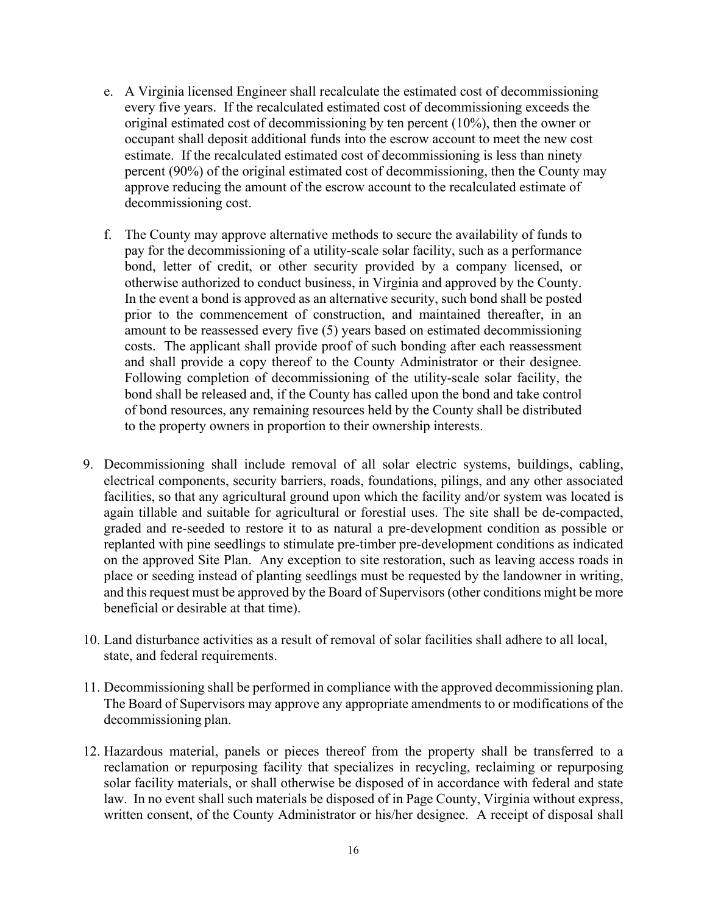- e. A Virginia licensed Engineer shall recalculate the estimated cost of decommissioning every five years. If the recalculated estimated cost of decommissioning exceeds the original estimated cost of decommissioning by ten percent (10%), then the owner or occupant shall deposit additional funds into the escrow account to meet the new cost estimate. If the recalculated estimated cost of decommissioning is less than ninety percent (90%) of the original estimated cost of decommissioning, then the County may approve reducing the amount of the escrow account to the recalculated estimate of decommissioning cost.
- f. The County may approve alternative methods to secure the availability of funds to pay for the decommissioning of a utility-scale solar facility, such as a performance bond, letter of credit, or other security provided by a company licensed, or otherwise authorized to conduct business, in Virginia and approved by the County. In the event a bond is approved as an alternative security, such bond shall be posted prior to the commencement of construction, and maintained thereafter, in an amount to be reassessed every five (5) years based on estimated decommissioning costs. The applicant shall provide proof of such bonding after each reassessment and shall provide a copy thereof to the County Administrator or their designee. Following completion of decommissioning of the utility-scale solar facility, the bond shall be released and, if the County has called upon the bond and take control of bond resources, any remaining resources held by the County shall be distributed to the property owners in proportion to their ownership interests.
- 9. Decommissioning shall include removal of all solar electric systems, buildings, cabling, electrical components, security barriers, roads, foundations, pilings, and any other associated facilities, so that any agricultural ground upon which the facility and/or system was located is again tillable and suitable for agricultural or forestial uses. The site shall be de-compacted, graded and re-seeded to restore it to as natural a pre-development condition as possible or replanted with pine seedlings to stimulate pre-timber pre-development conditions as indicated on the approved Site Plan. Any exception to site restoration, such as leaving access roads in place or seeding instead of planting seedlings must be requested by the landowner in writing, and this request must be approved by the Board of Supervisors (other conditions might be more beneficial or desirable at that time).
- 10. Land disturbance activities as a result of removal of solar facilities shall adhere to all local, state, and federal requirements.
- 11. Decommissioning shall be performed in compliance with the approved decommissioning plan. The Board of Supervisors may approve any appropriate amendments to or modifications of the decommissioning plan.
- 12. Hazardous material, panels or pieces thereof from the property shall be transferred to a reclamation or repurposing facility that specializes in recycling, reclaiming or repurposing solar facility materials, or shall otherwise be disposed of in accordance with federal and state law. In no event shall such materials be disposed of in Page County, Virginia without express, written consent, of the County Administrator or his/her designee. A receipt of disposal shall